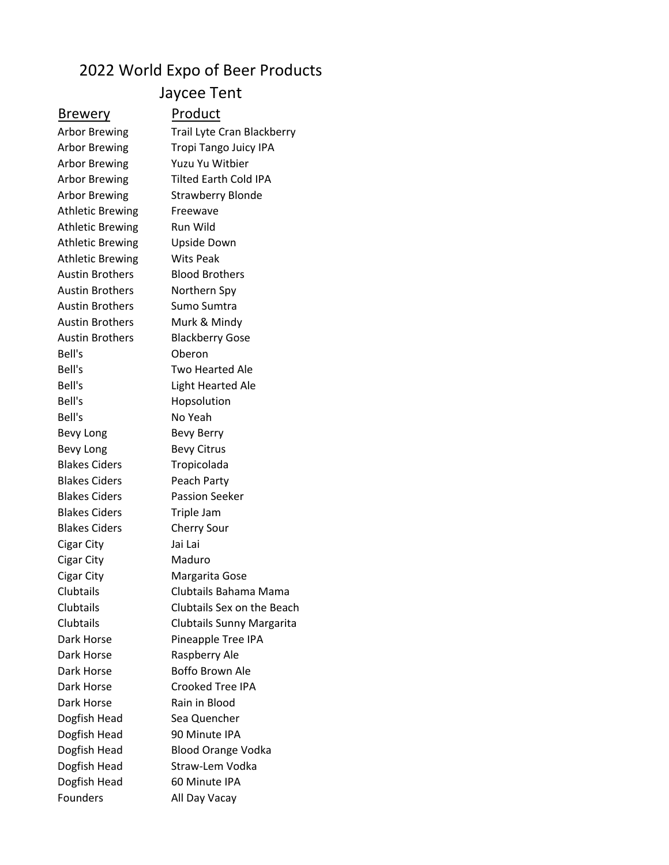## 2022 World Expo of Beer Products

## Jaycee Tent

## Brewery Product

Athletic Brewing Freewave Athletic Brewing Run Wild Athletic Brewing Upside Down Athletic Brewing Wits Peak Austin Brothers Blood Brothers Austin Brothers Northern Spy Austin Brothers Sumo Sumtra Austin Brothers Murk & Mindy Bell's Oberon Bell's Hopsolution Bell's No Yeah Bevy Long Bevy Berry Bevy Long Bevy Citrus Blakes Ciders Tropicolada Blakes Ciders Peach Party Blakes Ciders Passion Seeker Blakes Ciders Triple Jam Blakes Ciders Cherry Sour Cigar City Jai Lai Cigar City **Maduro** Dark Horse Raspberry Ale Dark Horse Rain in Blood Dogfish Head Sea Quencher Dogfish Head 90 Minute IPA Dogfish Head 60 Minute IPA

Arbor Brewing Trail Lyte Cran Blackberry Arbor Brewing Tropi Tango Juicy IPA Arbor Brewing Yuzu Yu Witbier Arbor Brewing Tilted Earth Cold IPA Arbor Brewing Strawberry Blonde Austin Brothers Blackberry Gose Bell's Two Hearted Ale Bell's Light Hearted Ale Cigar City Margarita Gose Clubtails Clubtails Bahama Mama Clubtails Clubtails Sex on the Beach Clubtails Clubtails Sunny Margarita Dark Horse Pineapple Tree IPA Dark Horse Boffo Brown Ale Dark Horse Crooked Tree IPA Dogfish Head Blood Orange Vodka Dogfish Head Straw-Lem Vodka Founders All Day Vacay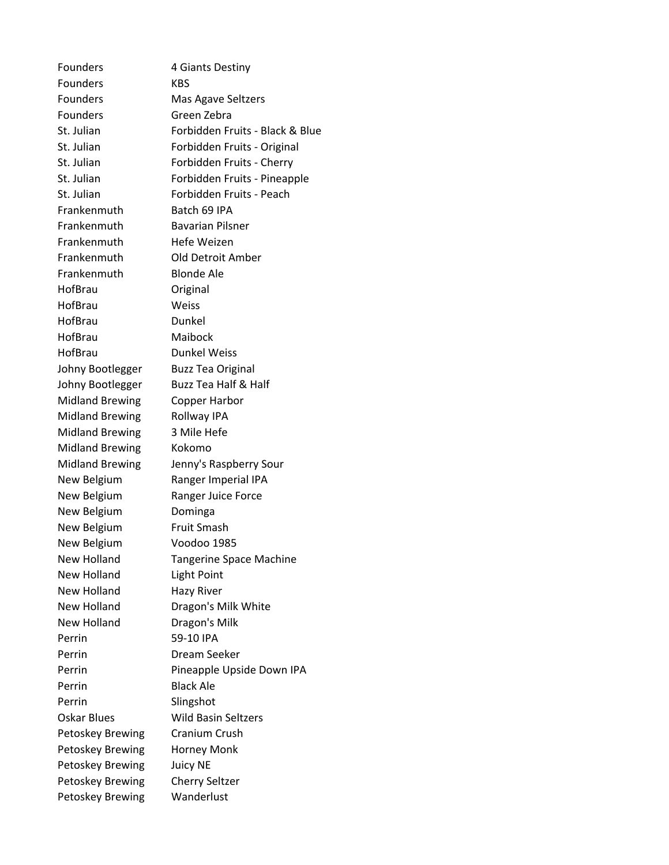Founders KBS Founders Mas Agave Seltzers Founders Green Zebra Frankenmuth Batch 69 IPA Frankenmuth Bavarian Pilsner Frankenmuth Hefe Weizen Frankenmuth Old Detroit Amber Frankenmuth Blonde Ale HofBrau Original HofBrau Weiss HofBrau Dunkel HofBrau Maibock HofBrau Dunkel Weiss Johny Bootlegger Buzz Tea Original Johny Bootlegger Buzz Tea Half & Half Midland Brewing Copper Harbor Midland Brewing Rollway IPA Midland Brewing 3 Mile Hefe Midland Brewing Kokomo New Belgium Ranger Imperial IPA New Belgium Ranger Juice Force New Belgium Dominga New Belgium Fruit Smash New Belgium Voodoo 1985 New Holland Light Point New Holland Hazy River New Holland Dragon's Milk White New Holland Dragon's Milk Perrin 59-10 IPA Perrin Dream Seeker Perrin Black Ale Perrin Slingshot Oskar Blues Wild Basin Seltzers Petoskey Brewing Cranium Crush Petoskey Brewing Horney Monk Petoskey Brewing Juicy NE Petoskey Brewing Cherry Seltzer Petoskey Brewing Wanderlust

Founders 4 Giants Destiny St. Julian Forbidden Fruits - Black & Blue St. Julian Forbidden Fruits - Original St. Julian Forbidden Fruits - Cherry St. Julian Forbidden Fruits - Pineapple St. Julian Forbidden Fruits - Peach Midland Brewing Jenny's Raspberry Sour New Holland Tangerine Space Machine Perrin Pineapple Upside Down IPA